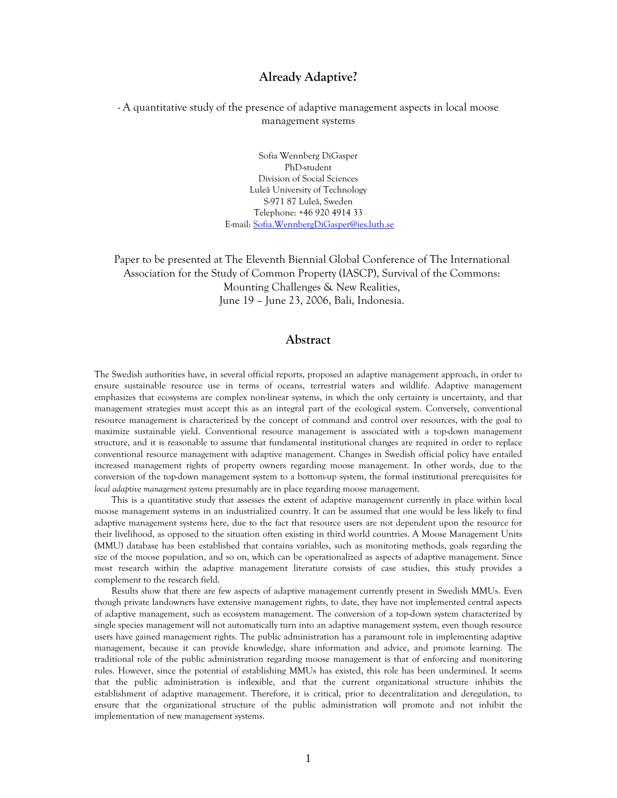# **Already Adaptive?**

## - A quantitative study of the presence of adaptive management aspects in local moose management systems

Sofia Wennberg DiGasper PhD-student Division of Social Sciences Luleå University of Technology S-971 87 Luleå, Sweden Telephone: +46 920 4914 33 E-mail: Sofia.WennbergDiGasper@ies.luth.se

Paper to be presented at The Eleventh Biennial Global Conference of The International Association for the Study of Common Property (IASCP), Survival of the Commons: Mounting Challenges & New Realities, June 19 – June 23, 2006, Bali, Indonesia.

# **Abstract**

The Swedish authorities have, in several official reports, proposed an adaptive management approach, in order to ensure sustainable resource use in terms of oceans, terrestrial waters and wildlife. Adaptive management emphasizes that ecosystems are complex non-linear systems, in which the only certainty is uncertainty, and that management strategies must accept this as an integral part of the ecological system. Conversely, conventional resource management is characterized by the concept of command and control over resources, with the goal to maximize sustainable yield. Conventional resource management is associated with a top-down management structure, and it is reasonable to assume that fundamental institutional changes are required in order to replace conventional resource management with adaptive management. Changes in Swedish official policy have entailed increased management rights of property owners regarding moose management. In other words, due to the conversion of the top-down management system to a bottom-up system, the formal institutional prerequisites for *local adaptive management systems* presumably are in place regarding moose management.

This is a quantitative study that assesses the extent of adaptive management currently in place within local moose management systems in an industrialized country. It can be assumed that one would be less likely to find adaptive management systems here, due to the fact that resource users are not dependent upon the resource for their livelihood, as opposed to the situation often existing in third world countries. A Moose Management Units (MMU) database has been established that contains variables, such as monitoring methods, goals regarding the size of the moose population, and so on, which can be operationalized as aspects of adaptive management. Since most research within the adaptive management literature consists of case studies, this study provides a complement to the research field.

Results show that there are few aspects of adaptive management currently present in Swedish MMUs. Even though private landowners have extensive management rights, to date, they have not implemented central aspects of adaptive management, such as ecosystem management. The conversion of a top-down system characterized by single species management will not automatically turn into an adaptive management system, even though resource users have gained management rights. The public administration has a paramount role in implementing adaptive management, because it can provide knowledge, share information and advice, and promote learning. The traditional role of the public administration regarding moose management is that of enforcing and monitoring rules. However, since the potential of establishing MMUs has existed, this role has been undermined. It seems that the public administration is inflexible, and that the current organizational structure inhibits the establishment of adaptive management. Therefore, it is critical, prior to decentralization and deregulation, to ensure that the organizational structure of the public administration will promote and not inhibit the implementation of new management systems.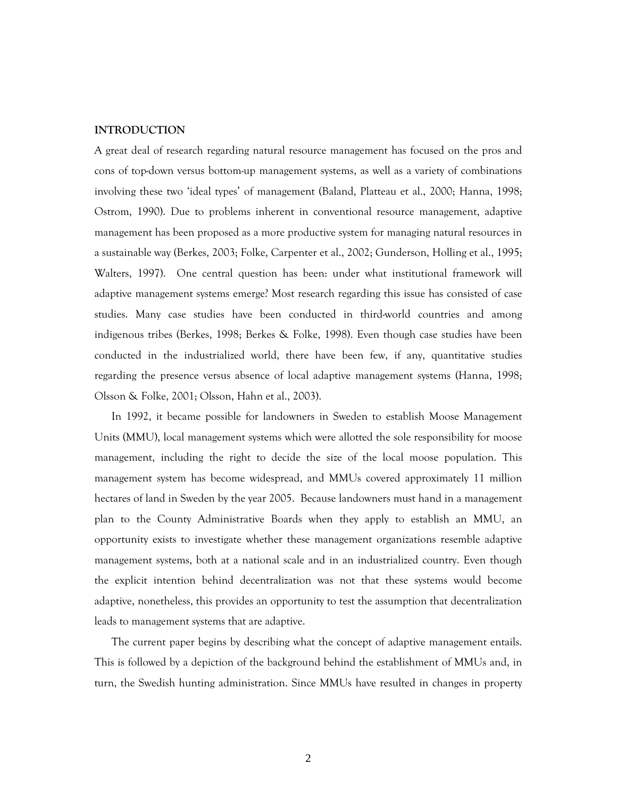### **INTRODUCTION**

A great deal of research regarding natural resource management has focused on the pros and cons of top-down versus bottom-up management systems, as well as a variety of combinations involving these two 'ideal types' of management (Baland, Platteau et al., 2000; Hanna, 1998; Ostrom, 1990). Due to problems inherent in conventional resource management, adaptive management has been proposed as a more productive system for managing natural resources in a sustainable way (Berkes, 2003; Folke, Carpenter et al., 2002; Gunderson, Holling et al., 1995; Walters, 1997). One central question has been: under what institutional framework will adaptive management systems emerge? Most research regarding this issue has consisted of case studies. Many case studies have been conducted in third-world countries and among indigenous tribes (Berkes, 1998; Berkes & Folke, 1998). Even though case studies have been conducted in the industrialized world, there have been few, if any, quantitative studies regarding the presence versus absence of local adaptive management systems (Hanna, 1998; Olsson & Folke, 2001; Olsson, Hahn et al., 2003).

In 1992, it became possible for landowners in Sweden to establish Moose Management Units (MMU), local management systems which were allotted the sole responsibility for moose management, including the right to decide the size of the local moose population. This management system has become widespread, and MMUs covered approximately 11 million hectares of land in Sweden by the year 2005. Because landowners must hand in a management plan to the County Administrative Boards when they apply to establish an MMU, an opportunity exists to investigate whether these management organizations resemble adaptive management systems, both at a national scale and in an industrialized country. Even though the explicit intention behind decentralization was not that these systems would become adaptive, nonetheless, this provides an opportunity to test the assumption that decentralization leads to management systems that are adaptive.

The current paper begins by describing what the concept of adaptive management entails. This is followed by a depiction of the background behind the establishment of MMUs and, in turn, the Swedish hunting administration. Since MMUs have resulted in changes in property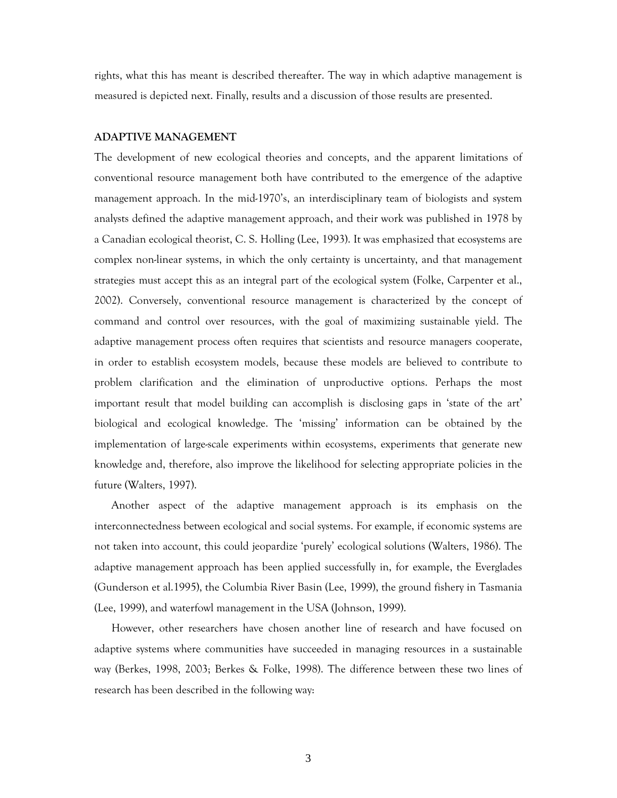rights, what this has meant is described thereafter. The way in which adaptive management is measured is depicted next. Finally, results and a discussion of those results are presented.

### **ADAPTIVE MANAGEMENT**

The development of new ecological theories and concepts, and the apparent limitations of conventional resource management both have contributed to the emergence of the adaptive management approach. In the mid-1970's, an interdisciplinary team of biologists and system analysts defined the adaptive management approach, and their work was published in 1978 by a Canadian ecological theorist, C. S. Holling (Lee, 1993). It was emphasized that ecosystems are complex non-linear systems, in which the only certainty is uncertainty, and that management strategies must accept this as an integral part of the ecological system (Folke, Carpenter et al., 2002). Conversely, conventional resource management is characterized by the concept of command and control over resources, with the goal of maximizing sustainable yield. The adaptive management process often requires that scientists and resource managers cooperate, in order to establish ecosystem models, because these models are believed to contribute to problem clarification and the elimination of unproductive options. Perhaps the most important result that model building can accomplish is disclosing gaps in 'state of the art' biological and ecological knowledge. The 'missing' information can be obtained by the implementation of large-scale experiments within ecosystems, experiments that generate new knowledge and, therefore, also improve the likelihood for selecting appropriate policies in the future (Walters, 1997).

Another aspect of the adaptive management approach is its emphasis on the interconnectedness between ecological and social systems. For example, if economic systems are not taken into account, this could jeopardize 'purely' ecological solutions (Walters, 1986). The adaptive management approach has been applied successfully in, for example, the Everglades (Gunderson et al.1995), the Columbia River Basin (Lee, 1999), the ground fishery in Tasmania (Lee, 1999), and waterfowl management in the USA (Johnson, 1999).

However, other researchers have chosen another line of research and have focused on adaptive systems where communities have succeeded in managing resources in a sustainable way (Berkes, 1998, 2003; Berkes & Folke, 1998). The difference between these two lines of research has been described in the following way: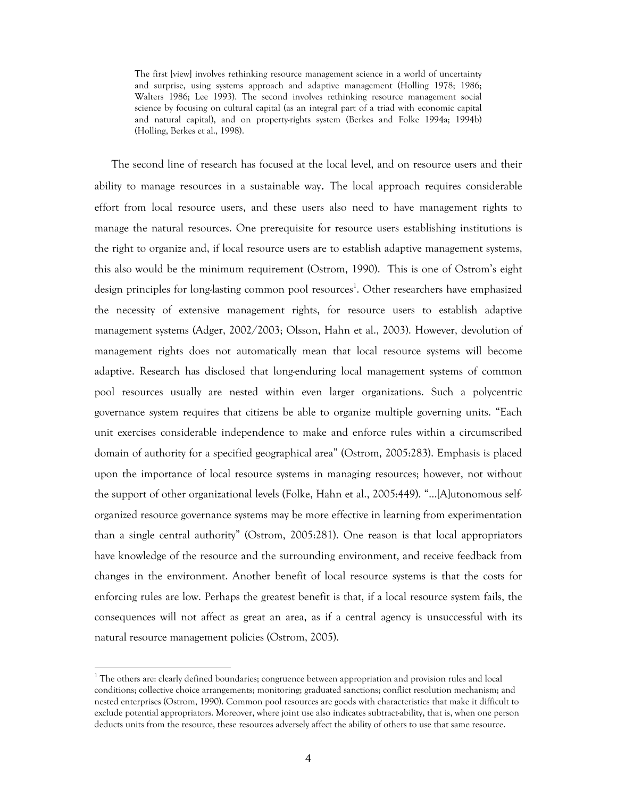The first [view] involves rethinking resource management science in a world of uncertainty and surprise, using systems approach and adaptive management (Holling 1978; 1986; Walters 1986; Lee 1993). The second involves rethinking resource management social science by focusing on cultural capital (as an integral part of a triad with economic capital and natural capital), and on property-rights system (Berkes and Folke 1994a; 1994b) (Holling, Berkes et al., 1998).

The second line of research has focused at the local level, and on resource users and their ability to manage resources in a sustainable way. The local approach requires considerable effort from local resource users, and these users also need to have management rights to manage the natural resources. One prerequisite for resource users establishing institutions is the right to organize and, if local resource users are to establish adaptive management systems, this also would be the minimum requirement (Ostrom, 1990). This is one of Ostrom's eight design principles for long-lasting common pool resources<sup>1</sup>. Other researchers have emphasized the necessity of extensive management rights, for resource users to establish adaptive management systems (Adger, 2002/2003; Olsson, Hahn et al., 2003). However, devolution of management rights does not automatically mean that local resource systems will become adaptive. Research has disclosed that long-enduring local management systems of common pool resources usually are nested within even larger organizations. Such a polycentric governance system requires that citizens be able to organize multiple governing units. "Each unit exercises considerable independence to make and enforce rules within a circumscribed domain of authority for a specified geographical area" (Ostrom, 2005:283). Emphasis is placed upon the importance of local resource systems in managing resources; however, not without the support of other organizational levels (Folke, Hahn et al., 2005:449). "…[A]utonomous selforganized resource governance systems may be more effective in learning from experimentation than a single central authority" (Ostrom, 2005:281). One reason is that local appropriators have knowledge of the resource and the surrounding environment, and receive feedback from changes in the environment. Another benefit of local resource systems is that the costs for enforcing rules are low. Perhaps the greatest benefit is that, if a local resource system fails, the consequences will not affect as great an area, as if a central agency is unsuccessful with its natural resource management policies (Ostrom, 2005).

-

<sup>&</sup>lt;sup>1</sup> The others are: clearly defined boundaries; congruence between appropriation and provision rules and local conditions; collective choice arrangements; monitoring; graduated sanctions; conflict resolution mechanism; and nested enterprises (Ostrom, 1990). Common pool resources are goods with characteristics that make it difficult to exclude potential appropriators. Moreover, where joint use also indicates subtract-ability, that is, when one person deducts units from the resource, these resources adversely affect the ability of others to use that same resource.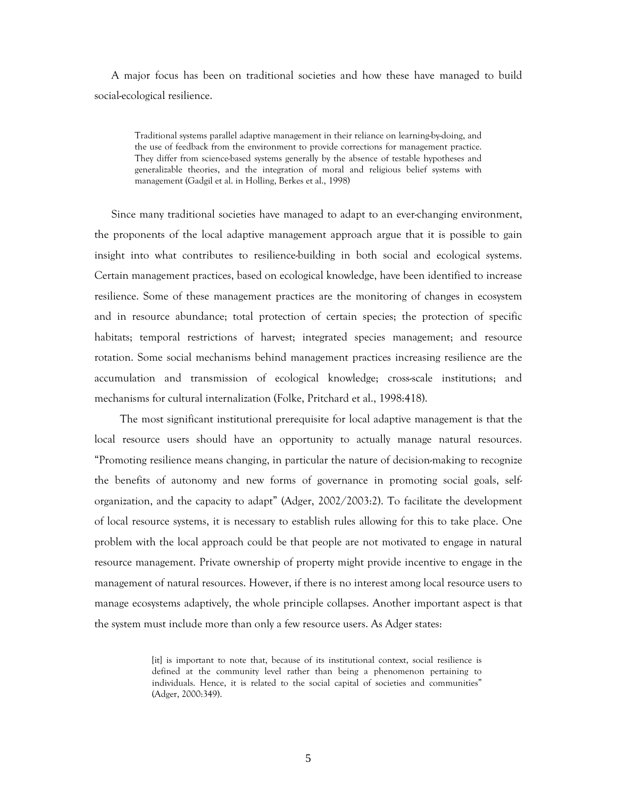A major focus has been on traditional societies and how these have managed to build social-ecological resilience.

Traditional systems parallel adaptive management in their reliance on learning-by-doing, and the use of feedback from the environment to provide corrections for management practice. They differ from science-based systems generally by the absence of testable hypotheses and generalizable theories, and the integration of moral and religious belief systems with management (Gadgil et al. in Holling, Berkes et al., 1998)

Since many traditional societies have managed to adapt to an ever-changing environment, the proponents of the local adaptive management approach argue that it is possible to gain insight into what contributes to resilience-building in both social and ecological systems. Certain management practices, based on ecological knowledge, have been identified to increase resilience. Some of these management practices are the monitoring of changes in ecosystem and in resource abundance; total protection of certain species; the protection of specific habitats; temporal restrictions of harvest; integrated species management; and resource rotation. Some social mechanisms behind management practices increasing resilience are the accumulation and transmission of ecological knowledge; cross-scale institutions; and mechanisms for cultural internalization (Folke, Pritchard et al., 1998:418).

The most significant institutional prerequisite for local adaptive management is that the local resource users should have an opportunity to actually manage natural resources. "Promoting resilience means changing, in particular the nature of decision-making to recognize the benefits of autonomy and new forms of governance in promoting social goals, selforganization, and the capacity to adapt" (Adger, 2002/2003:2). To facilitate the development of local resource systems, it is necessary to establish rules allowing for this to take place. One problem with the local approach could be that people are not motivated to engage in natural resource management. Private ownership of property might provide incentive to engage in the management of natural resources. However, if there is no interest among local resource users to manage ecosystems adaptively, the whole principle collapses. Another important aspect is that the system must include more than only a few resource users. As Adger states:

> [it] is important to note that, because of its institutional context, social resilience is defined at the community level rather than being a phenomenon pertaining to individuals. Hence, it is related to the social capital of societies and communities" (Adger, 2000:349).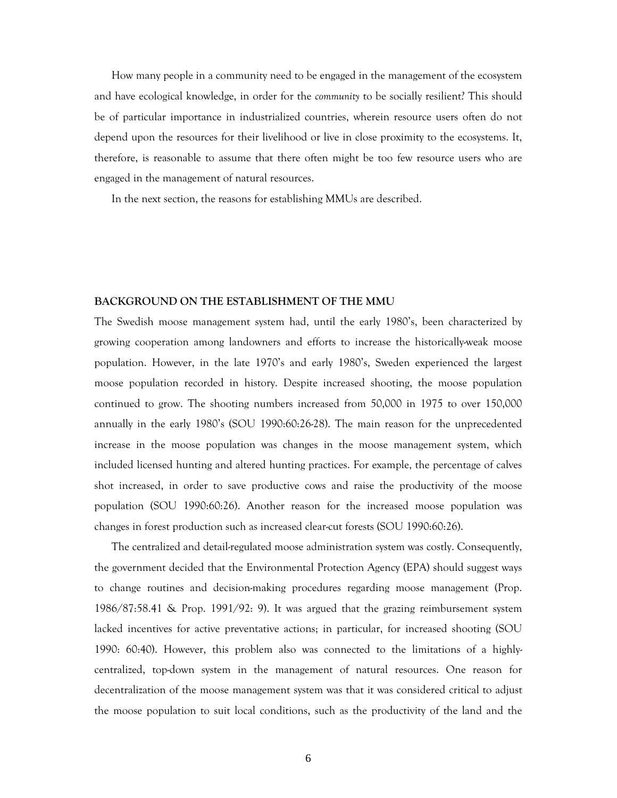How many people in a community need to be engaged in the management of the ecosystem and have ecological knowledge, in order for the *community* to be socially resilient? This should be of particular importance in industrialized countries, wherein resource users often do not depend upon the resources for their livelihood or live in close proximity to the ecosystems. It, therefore, is reasonable to assume that there often might be too few resource users who are engaged in the management of natural resources.

In the next section, the reasons for establishing MMUs are described.

### **BACKGROUND ON THE ESTABLISHMENT OF THE MMU**

The Swedish moose management system had, until the early 1980's, been characterized by growing cooperation among landowners and efforts to increase the historically-weak moose population. However, in the late 1970's and early 1980's, Sweden experienced the largest moose population recorded in history. Despite increased shooting, the moose population continued to grow. The shooting numbers increased from 50,000 in 1975 to over 150,000 annually in the early 1980's (SOU 1990:60:26-28). The main reason for the unprecedented increase in the moose population was changes in the moose management system, which included licensed hunting and altered hunting practices. For example, the percentage of calves shot increased, in order to save productive cows and raise the productivity of the moose population (SOU 1990:60:26). Another reason for the increased moose population was changes in forest production such as increased clear-cut forests (SOU 1990:60:26).

The centralized and detail-regulated moose administration system was costly. Consequently, the government decided that the Environmental Protection Agency (EPA) should suggest ways to change routines and decision-making procedures regarding moose management (Prop. 1986/87:58.41 & Prop. 1991/92: 9). It was argued that the grazing reimbursement system lacked incentives for active preventative actions; in particular, for increased shooting (SOU 1990: 60:40). However, this problem also was connected to the limitations of a highlycentralized, top-down system in the management of natural resources. One reason for decentralization of the moose management system was that it was considered critical to adjust the moose population to suit local conditions, such as the productivity of the land and the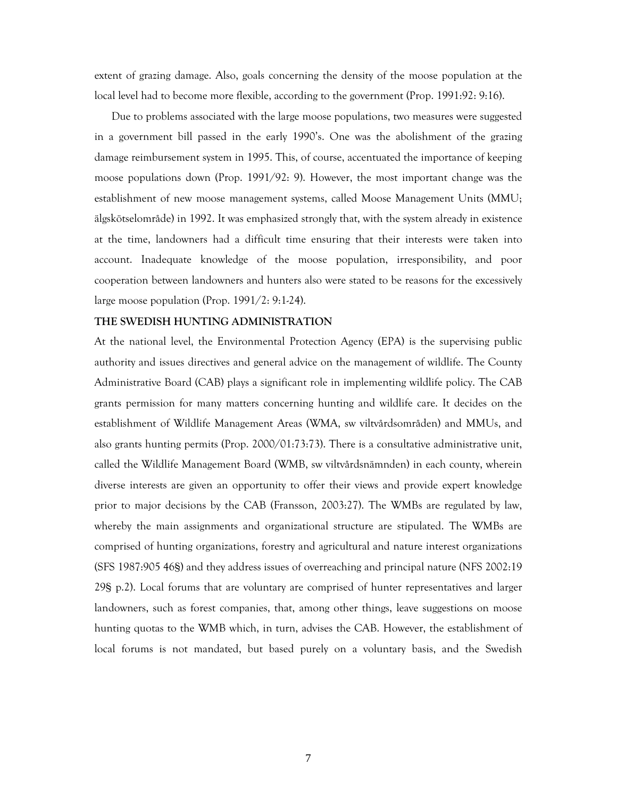extent of grazing damage. Also, goals concerning the density of the moose population at the local level had to become more flexible, according to the government (Prop. 1991:92: 9:16).

Due to problems associated with the large moose populations, two measures were suggested in a government bill passed in the early 1990's. One was the abolishment of the grazing damage reimbursement system in 1995. This, of course, accentuated the importance of keeping moose populations down (Prop. 1991/92: 9). However, the most important change was the establishment of new moose management systems, called Moose Management Units (MMU; älgskötselområde) in 1992. It was emphasized strongly that, with the system already in existence at the time, landowners had a difficult time ensuring that their interests were taken into account. Inadequate knowledge of the moose population, irresponsibility, and poor cooperation between landowners and hunters also were stated to be reasons for the excessively large moose population (Prop. 1991/2: 9:1-24).

### **THE SWEDISH HUNTING ADMINISTRATION**

At the national level, the Environmental Protection Agency (EPA) is the supervising public authority and issues directives and general advice on the management of wildlife. The County Administrative Board (CAB) plays a significant role in implementing wildlife policy. The CAB grants permission for many matters concerning hunting and wildlife care. It decides on the establishment of Wildlife Management Areas (WMA, sw viltvårdsområden) and MMUs, and also grants hunting permits (Prop. 2000/01:73:73). There is a consultative administrative unit, called the Wildlife Management Board (WMB, sw viltvårdsnämnden) in each county, wherein diverse interests are given an opportunity to offer their views and provide expert knowledge prior to major decisions by the CAB (Fransson, 2003:27). The WMBs are regulated by law, whereby the main assignments and organizational structure are stipulated. The WMBs are comprised of hunting organizations, forestry and agricultural and nature interest organizations (SFS 1987:905 46§) and they address issues of overreaching and principal nature (NFS 2002:19 29§ p.2). Local forums that are voluntary are comprised of hunter representatives and larger landowners, such as forest companies, that, among other things, leave suggestions on moose hunting quotas to the WMB which, in turn, advises the CAB. However, the establishment of local forums is not mandated, but based purely on a voluntary basis, and the Swedish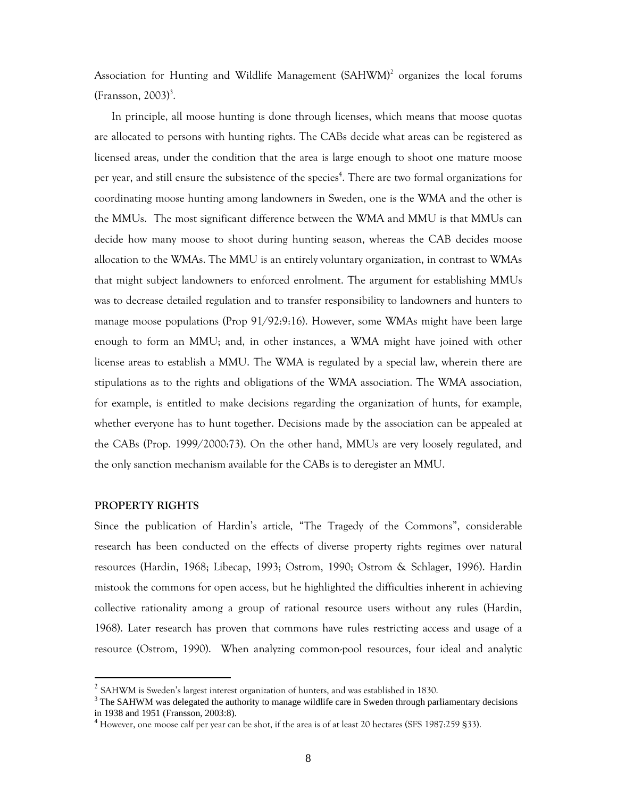Association for Hunting and Wildlife Management (SAHWM)<sup>2</sup> organizes the local forums  $(Fransson, 2003)<sup>3</sup>$ .

 In principle, all moose hunting is done through licenses, which means that moose quotas are allocated to persons with hunting rights. The CABs decide what areas can be registered as licensed areas, under the condition that the area is large enough to shoot one mature moose per year, and still ensure the subsistence of the species<sup>4</sup>. There are two formal organizations for coordinating moose hunting among landowners in Sweden, one is the WMA and the other is the MMUs. The most significant difference between the WMA and MMU is that MMUs can decide how many moose to shoot during hunting season, whereas the CAB decides moose allocation to the WMAs. The MMU is an entirely voluntary organization, in contrast to WMAs that might subject landowners to enforced enrolment. The argument for establishing MMUs was to decrease detailed regulation and to transfer responsibility to landowners and hunters to manage moose populations (Prop 91/92:9:16). However, some WMAs might have been large enough to form an MMU; and, in other instances, a WMA might have joined with other license areas to establish a MMU. The WMA is regulated by a special law, wherein there are stipulations as to the rights and obligations of the WMA association. The WMA association, for example, is entitled to make decisions regarding the organization of hunts, for example, whether everyone has to hunt together. Decisions made by the association can be appealed at the CABs (Prop. 1999/2000:73). On the other hand, MMUs are very loosely regulated, and the only sanction mechanism available for the CABs is to deregister an MMU.

### **PROPERTY RIGHTS**

-

Since the publication of Hardin's article, "The Tragedy of the Commons", considerable research has been conducted on the effects of diverse property rights regimes over natural resources (Hardin, 1968; Libecap, 1993; Ostrom, 1990; Ostrom & Schlager, 1996). Hardin mistook the commons for open access, but he highlighted the difficulties inherent in achieving collective rationality among a group of rational resource users without any rules (Hardin, 1968). Later research has proven that commons have rules restricting access and usage of a resource (Ostrom, 1990). When analyzing common-pool resources, four ideal and analytic

 $^{2}$  SAHWM is Sweden's largest interest organization of hunters, and was established in 1830.

 $3$  The SAHWM was delegated the authority to manage wildlife care in Sweden through parliamentary decisions in 1938 and 1951 (Fransson, 2003:8).

<sup>4</sup> However, one moose calf per year can be shot, if the area is of at least 20 hectares (SFS 1987:259 §33).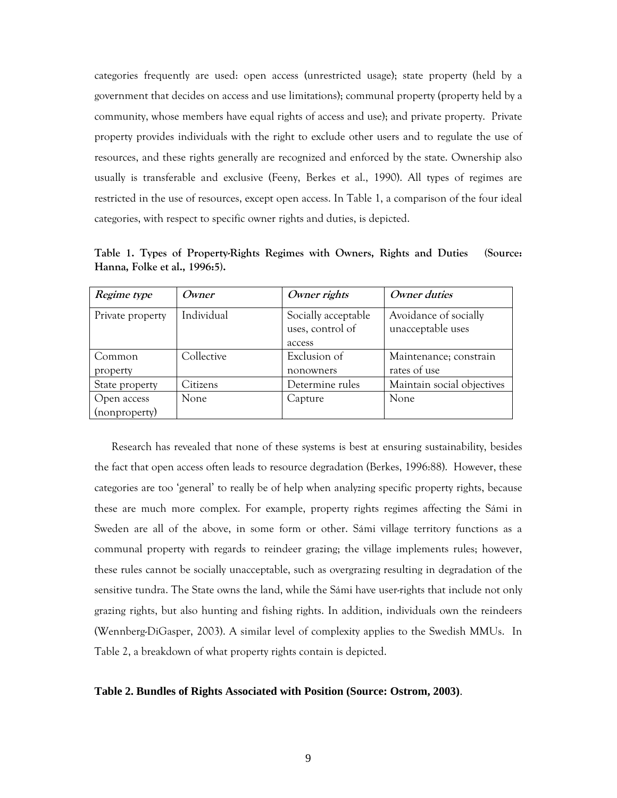categories frequently are used: open access (unrestricted usage); state property (held by a government that decides on access and use limitations); communal property (property held by a community, whose members have equal rights of access and use); and private property. Private property provides individuals with the right to exclude other users and to regulate the use of resources, and these rights generally are recognized and enforced by the state. Ownership also usually is transferable and exclusive (Feeny, Berkes et al., 1990). All types of regimes are restricted in the use of resources, except open access. In Table 1, a comparison of the four ideal categories, with respect to specific owner rights and duties, is depicted.

| Regime type      | Owner      | Owner rights        | Owner duties               |
|------------------|------------|---------------------|----------------------------|
| Private property | Individual | Socially acceptable | Avoidance of socially      |
|                  |            | uses, control of    | unacceptable uses          |
|                  |            | access              |                            |
| Common           | Collective | Exclusion of        | Maintenance; constrain     |
| property         |            | nonowners           | rates of use               |
| State property   | Citizens   | Determine rules     | Maintain social objectives |
| Open access      | None.      | Capture             | None                       |
| (nonproperty)    |            |                     |                            |

**Table 1. Types of Property-Rights Regimes with Owners, Rights and Duties (Source: Hanna, Folke et al., 1996:5).** 

Research has revealed that none of these systems is best at ensuring sustainability, besides the fact that open access often leads to resource degradation (Berkes, 1996:88). However, these categories are too 'general' to really be of help when analyzing specific property rights, because these are much more complex. For example, property rights regimes affecting the Sámi in Sweden are all of the above, in some form or other. Sámi village territory functions as a communal property with regards to reindeer grazing; the village implements rules; however, these rules cannot be socially unacceptable, such as overgrazing resulting in degradation of the sensitive tundra. The State owns the land, while the Sámi have user-rights that include not only grazing rights, but also hunting and fishing rights. In addition, individuals own the reindeers (Wennberg-DiGasper, 2003). A similar level of complexity applies to the Swedish MMUs. In Table 2, a breakdown of what property rights contain is depicted.

### **Table 2. Bundles of Rights Associated with Position (Source: Ostrom, 2003)**.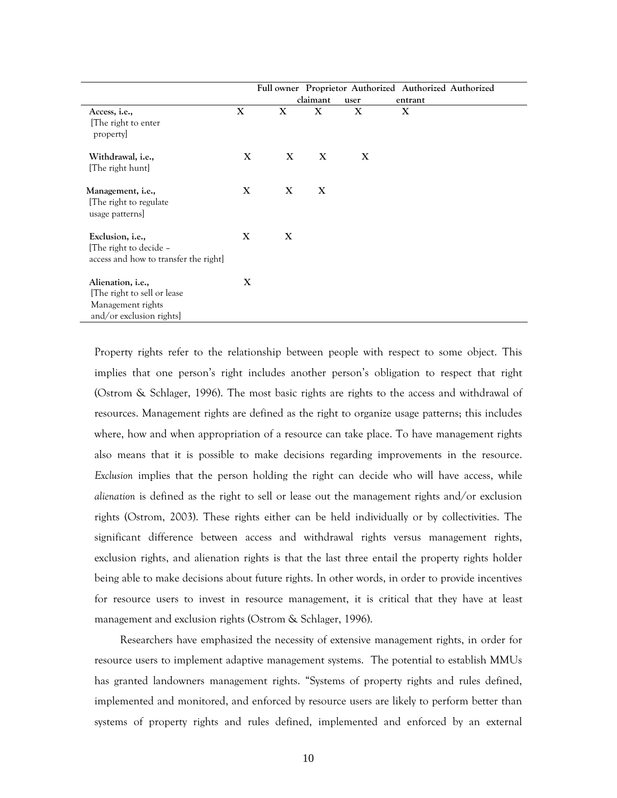|                                                                                                           |   |   |          |      | Full owner Proprietor Authorized Authorized Authorized |  |
|-----------------------------------------------------------------------------------------------------------|---|---|----------|------|--------------------------------------------------------|--|
|                                                                                                           |   |   | claimant | user | entrant                                                |  |
| Access, <i>i.e.</i> ,<br>[The right to enter]<br>property                                                 | X | X | X        | X    | X                                                      |  |
| Withdrawal, <i>i.e.</i> ,<br>[The right hunt]                                                             | X | X | X        | X    |                                                        |  |
| Management, i.e.,<br>The right to regulate<br>usage patterns]                                             | X | X | X        |      |                                                        |  |
| Exclusion, i.e.,<br>[The right to decide -<br>access and how to transfer the right]                       | X | X |          |      |                                                        |  |
| Alienation, <i>i.e.</i> ,<br>[The right to sell or lease<br>Management rights<br>and/or exclusion rights] | X |   |          |      |                                                        |  |

Property rights refer to the relationship between people with respect to some object. This implies that one person's right includes another person's obligation to respect that right (Ostrom & Schlager, 1996). The most basic rights are rights to the access and withdrawal of resources. Management rights are defined as the right to organize usage patterns; this includes where, how and when appropriation of a resource can take place. To have management rights also means that it is possible to make decisions regarding improvements in the resource. *Exclusion* implies that the person holding the right can decide who will have access, while *alienation* is defined as the right to sell or lease out the management rights and/or exclusion rights (Ostrom, 2003). These rights either can be held individually or by collectivities. The significant difference between access and withdrawal rights versus management rights, exclusion rights, and alienation rights is that the last three entail the property rights holder being able to make decisions about future rights. In other words, in order to provide incentives for resource users to invest in resource management, it is critical that they have at least management and exclusion rights (Ostrom & Schlager, 1996).

Researchers have emphasized the necessity of extensive management rights, in order for resource users to implement adaptive management systems. The potential to establish MMUs has granted landowners management rights. "Systems of property rights and rules defined, implemented and monitored, and enforced by resource users are likely to perform better than systems of property rights and rules defined, implemented and enforced by an external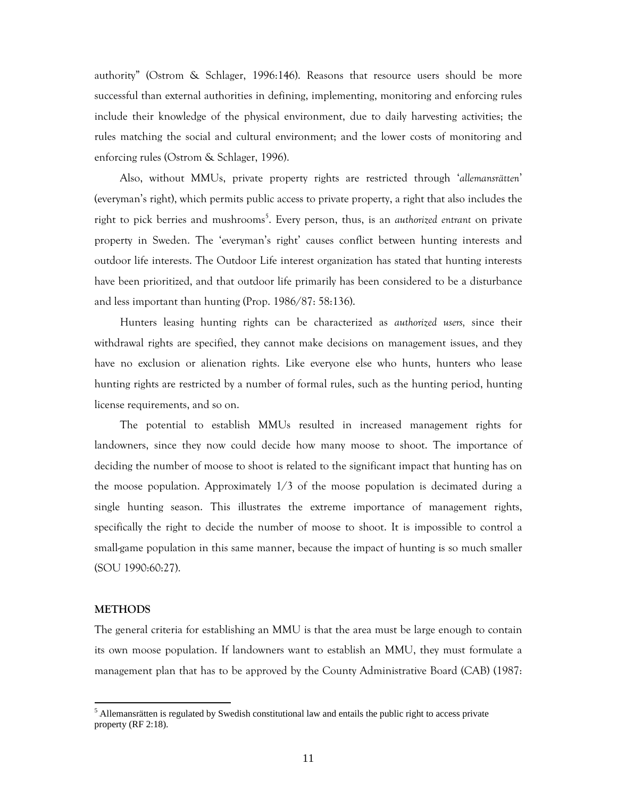authority" (Ostrom & Schlager, 1996:146). Reasons that resource users should be more successful than external authorities in defining, implementing, monitoring and enforcing rules include their knowledge of the physical environment, due to daily harvesting activities; the rules matching the social and cultural environment; and the lower costs of monitoring and enforcing rules (Ostrom & Schlager, 1996).

Also, without MMUs, private property rights are restricted through '*allemansrätten*' (everyman's right), which permits public access to private property, a right that also includes the right to pick berries and mushrooms<sup>5</sup>. Every person, thus, is an *authorized entrant* on private property in Sweden. The 'everyman's right' causes conflict between hunting interests and outdoor life interests. The Outdoor Life interest organization has stated that hunting interests have been prioritized, and that outdoor life primarily has been considered to be a disturbance and less important than hunting (Prop. 1986/87: 58:136).

Hunters leasing hunting rights can be characterized as *authorized users,* since their withdrawal rights are specified, they cannot make decisions on management issues, and they have no exclusion or alienation rights. Like everyone else who hunts, hunters who lease hunting rights are restricted by a number of formal rules, such as the hunting period, hunting license requirements, and so on.

The potential to establish MMUs resulted in increased management rights for landowners, since they now could decide how many moose to shoot. The importance of deciding the number of moose to shoot is related to the significant impact that hunting has on the moose population. Approximately  $1/3$  of the moose population is decimated during a single hunting season. This illustrates the extreme importance of management rights, specifically the right to decide the number of moose to shoot. It is impossible to control a small-game population in this same manner, because the impact of hunting is so much smaller (SOU 1990:60:27).

## **METHODS**

-

The general criteria for establishing an MMU is that the area must be large enough to contain its own moose population. If landowners want to establish an MMU, they must formulate a management plan that has to be approved by the County Administrative Board (CAB) (1987:

 $<sup>5</sup>$  Allemansrätten is regulated by Swedish constitutional law and entails the public right to access private</sup> property (RF 2:18).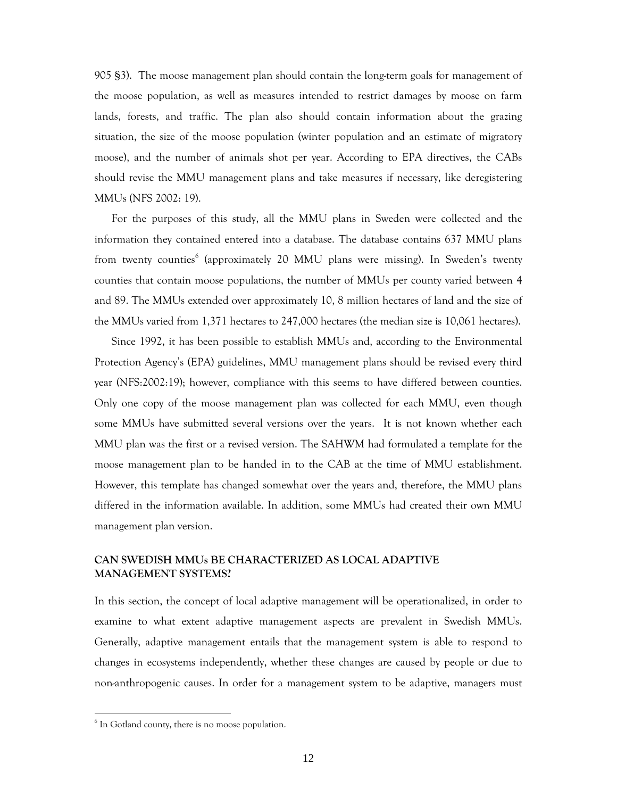905 §3). The moose management plan should contain the long-term goals for management of the moose population, as well as measures intended to restrict damages by moose on farm lands, forests, and traffic. The plan also should contain information about the grazing situation, the size of the moose population (winter population and an estimate of migratory moose), and the number of animals shot per year. According to EPA directives, the CABs should revise the MMU management plans and take measures if necessary, like deregistering MMUs (NFS 2002: 19).

For the purposes of this study, all the MMU plans in Sweden were collected and the information they contained entered into a database. The database contains 637 MMU plans from twenty counties<sup>6</sup> (approximately 20 MMU plans were missing). In Sweden's twenty counties that contain moose populations, the number of MMUs per county varied between 4 and 89. The MMUs extended over approximately 10, 8 million hectares of land and the size of the MMUs varied from 1,371 hectares to 247,000 hectares (the median size is 10,061 hectares).

Since 1992, it has been possible to establish MMUs and, according to the Environmental Protection Agency's (EPA) guidelines, MMU management plans should be revised every third year (NFS:2002:19); however, compliance with this seems to have differed between counties. Only one copy of the moose management plan was collected for each MMU, even though some MMUs have submitted several versions over the years. It is not known whether each MMU plan was the first or a revised version. The SAHWM had formulated a template for the moose management plan to be handed in to the CAB at the time of MMU establishment. However, this template has changed somewhat over the years and, therefore, the MMU plans differed in the information available. In addition, some MMUs had created their own MMU management plan version.

# **CAN SWEDISH MMUs BE CHARACTERIZED AS LOCAL ADAPTIVE MANAGEMENT SYSTEMS?**

In this section, the concept of local adaptive management will be operationalized, in order to examine to what extent adaptive management aspects are prevalent in Swedish MMUs. Generally, adaptive management entails that the management system is able to respond to changes in ecosystems independently, whether these changes are caused by people or due to non-anthropogenic causes. In order for a management system to be adaptive, managers must

-

 $6$  In Gotland county, there is no moose population.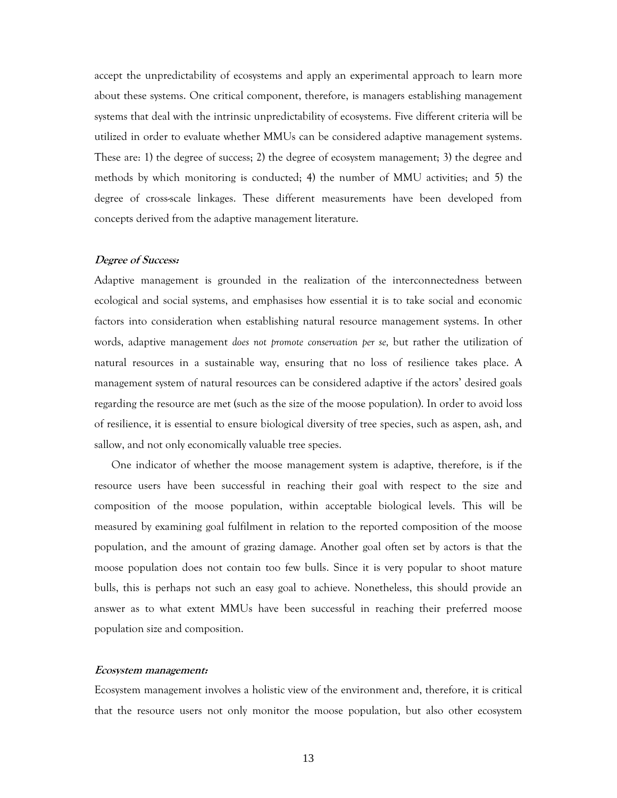accept the unpredictability of ecosystems and apply an experimental approach to learn more about these systems. One critical component, therefore, is managers establishing management systems that deal with the intrinsic unpredictability of ecosystems. Five different criteria will be utilized in order to evaluate whether MMUs can be considered adaptive management systems. These are: 1) the degree of success; 2) the degree of ecosystem management; 3) the degree and methods by which monitoring is conducted; 4) the number of MMU activities; and 5) the degree of cross-scale linkages. These different measurements have been developed from concepts derived from the adaptive management literature.

## **Degree of Success:**

Adaptive management is grounded in the realization of the interconnectedness between ecological and social systems, and emphasises how essential it is to take social and economic factors into consideration when establishing natural resource management systems. In other words, adaptive management *does not promote conservation per se,* but rather the utilization of natural resources in a sustainable way, ensuring that no loss of resilience takes place. A management system of natural resources can be considered adaptive if the actors' desired goals regarding the resource are met (such as the size of the moose population). In order to avoid loss of resilience, it is essential to ensure biological diversity of tree species, such as aspen, ash, and sallow, and not only economically valuable tree species.

One indicator of whether the moose management system is adaptive, therefore, is if the resource users have been successful in reaching their goal with respect to the size and composition of the moose population, within acceptable biological levels. This will be measured by examining goal fulfilment in relation to the reported composition of the moose population, and the amount of grazing damage. Another goal often set by actors is that the moose population does not contain too few bulls. Since it is very popular to shoot mature bulls, this is perhaps not such an easy goal to achieve. Nonetheless, this should provide an answer as to what extent MMUs have been successful in reaching their preferred moose population size and composition.

### **Ecosystem management:**

Ecosystem management involves a holistic view of the environment and, therefore, it is critical that the resource users not only monitor the moose population, but also other ecosystem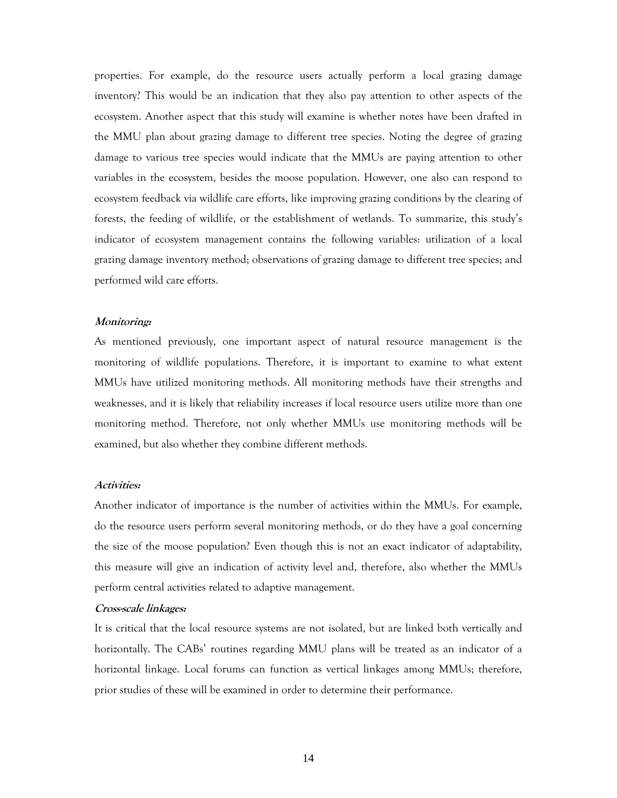properties. For example, do the resource users actually perform a local grazing damage inventory? This would be an indication that they also pay attention to other aspects of the ecosystem. Another aspect that this study will examine is whether notes have been drafted in the MMU plan about grazing damage to different tree species. Noting the degree of grazing damage to various tree species would indicate that the MMUs are paying attention to other variables in the ecosystem, besides the moose population. However, one also can respond to ecosystem feedback via wildlife care efforts, like improving grazing conditions by the clearing of forests, the feeding of wildlife, or the establishment of wetlands. To summarize, this study's indicator of ecosystem management contains the following variables: utilization of a local grazing damage inventory method; observations of grazing damage to different tree species; and performed wild care efforts.

### **Monitoring:**

As mentioned previously, one important aspect of natural resource management is the monitoring of wildlife populations. Therefore, it is important to examine to what extent MMUs have utilized monitoring methods. All monitoring methods have their strengths and weaknesses, and it is likely that reliability increases if local resource users utilize more than one monitoring method. Therefore, not only whether MMUs use monitoring methods will be examined, but also whether they combine different methods.

### **Activities:**

Another indicator of importance is the number of activities within the MMUs. For example, do the resource users perform several monitoring methods, or do they have a goal concerning the size of the moose population? Even though this is not an exact indicator of adaptability, this measure will give an indication of activity level and, therefore, also whether the MMUs perform central activities related to adaptive management.

## **Cross-scale linkages:**

It is critical that the local resource systems are not isolated, but are linked both vertically and horizontally. The CABs' routines regarding MMU plans will be treated as an indicator of a horizontal linkage. Local forums can function as vertical linkages among MMUs; therefore, prior studies of these will be examined in order to determine their performance.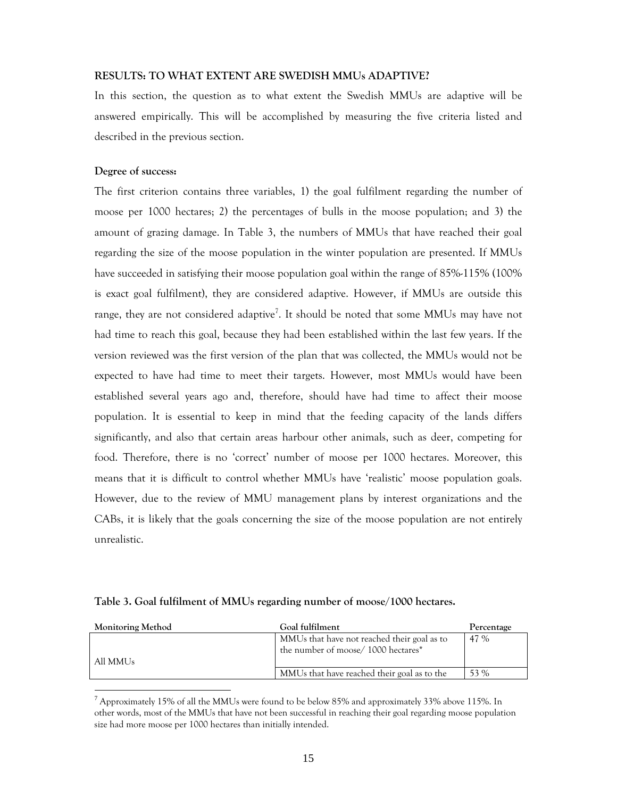### **RESULTS: TO WHAT EXTENT ARE SWEDISH MMUs ADAPTIVE?**

In this section, the question as to what extent the Swedish MMUs are adaptive will be answered empirically. This will be accomplished by measuring the five criteria listed and described in the previous section.

## **Degree of success:**

-

The first criterion contains three variables, 1) the goal fulfilment regarding the number of moose per 1000 hectares; 2) the percentages of bulls in the moose population; and 3) the amount of grazing damage. In Table 3, the numbers of MMUs that have reached their goal regarding the size of the moose population in the winter population are presented. If MMUs have succeeded in satisfying their moose population goal within the range of 85%-115% (100% is exact goal fulfilment), they are considered adaptive. However, if MMUs are outside this range, they are not considered adaptive<sup>7</sup>. It should be noted that some MMUs may have not had time to reach this goal, because they had been established within the last few years. If the version reviewed was the first version of the plan that was collected, the MMUs would not be expected to have had time to meet their targets. However, most MMUs would have been established several years ago and, therefore, should have had time to affect their moose population. It is essential to keep in mind that the feeding capacity of the lands differs significantly, and also that certain areas harbour other animals, such as deer, competing for food. Therefore, there is no 'correct' number of moose per 1000 hectares. Moreover, this means that it is difficult to control whether MMUs have 'realistic' moose population goals. However, due to the review of MMU management plans by interest organizations and the CABs, it is likely that the goals concerning the size of the moose population are not entirely unrealistic.

| <b>Monitoring Method</b> | Goal fulfilment                                                                   | Percentage |
|--------------------------|-----------------------------------------------------------------------------------|------------|
| All MMU <sub>s</sub>     | MMUs that have not reached their goal as to<br>the number of moose/1000 hectares* | 47 %       |
|                          | MMUs that have reached their goal as to the                                       | 53 %       |

**Table 3. Goal fulfilment of MMUs regarding number of moose/1000 hectares.**

<sup>&</sup>lt;sup>7</sup> Approximately 15% of all the MMUs were found to be below 85% and approximately 33% above 115%. In other words, most of the MMUs that have not been successful in reaching their goal regarding moose population size had more moose per 1000 hectares than initially intended.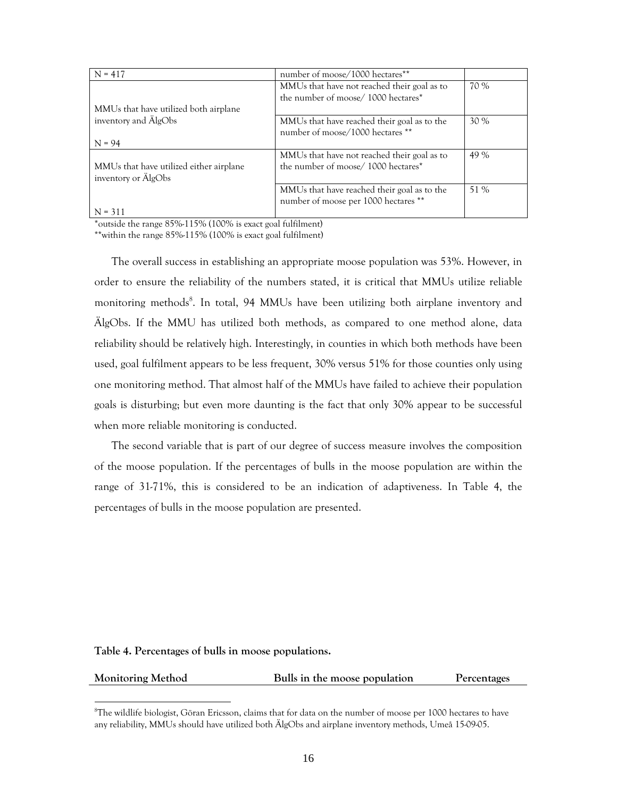| $N = 417$                               | number of moose/1000 hectares**             |      |
|-----------------------------------------|---------------------------------------------|------|
|                                         | MMUs that have not reached their goal as to | 70 % |
|                                         | the number of moose/1000 hectares*          |      |
| MMUs that have utilized both airplane   |                                             |      |
| inventory and AlgObs                    | MMUs that have reached their goal as to the | 30%  |
|                                         | number of moose/1000 hectares **            |      |
| $N = 94$                                |                                             |      |
|                                         | MMUs that have not reached their goal as to | 49 % |
| MMUs that have utilized either airplane | the number of moose/1000 hectares*          |      |
| inventory or AlgObs                     |                                             |      |
|                                         | MMUs that have reached their goal as to the | 51 % |
|                                         | number of moose per 1000 hectares **        |      |
| $N = 311$                               |                                             |      |

\*outside the range 85%-115% (100% is exact goal fulfilment)

\*\*within the range 85%-115% (100% is exact goal fulfilment)

The overall success in establishing an appropriate moose population was 53%. However, in order to ensure the reliability of the numbers stated, it is critical that MMUs utilize reliable monitoring methods<sup>8</sup>. In total, 94 MMUs have been utilizing both airplane inventory and ÄlgObs. If the MMU has utilized both methods, as compared to one method alone, data reliability should be relatively high. Interestingly, in counties in which both methods have been used, goal fulfilment appears to be less frequent, 30% versus 51% for those counties only using one monitoring method. That almost half of the MMUs have failed to achieve their population goals is disturbing; but even more daunting is the fact that only 30% appear to be successful when more reliable monitoring is conducted.

The second variable that is part of our degree of success measure involves the composition of the moose population. If the percentages of bulls in the moose population are within the range of 31-71%, this is considered to be an indication of adaptiveness. In Table 4, the percentages of bulls in the moose population are presented.

### **Table 4. Percentages of bulls in moose populations.**

-

| <b>Monitoring Method</b><br>Bulls in the moose population |  | Percentages |
|-----------------------------------------------------------|--|-------------|
|-----------------------------------------------------------|--|-------------|

 ${}^{8}$ The wildlife biologist, Göran Ericsson, claims that for data on the number of moose per 1000 hectares to have any reliability, MMUs should have utilized both ÄlgObs and airplane inventory methods, Umeå 15-09-05.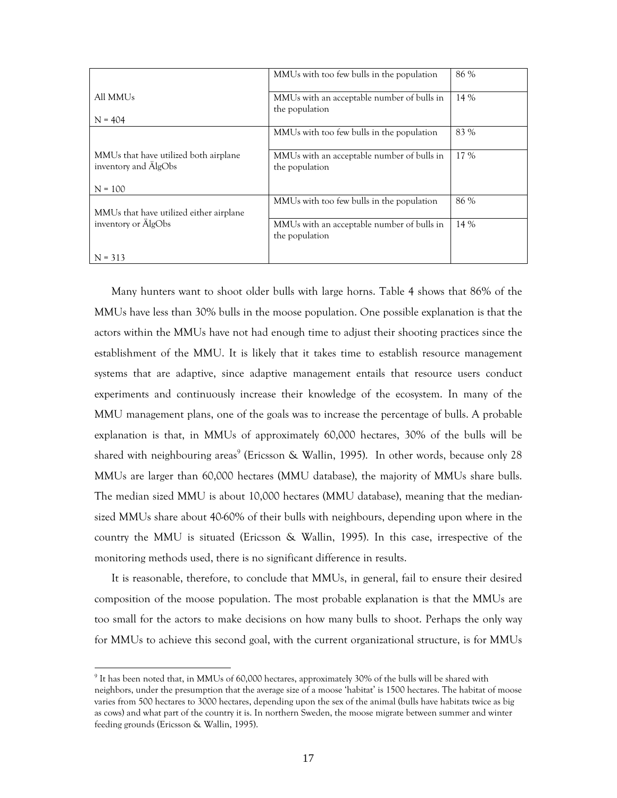|                                                                            | MMUs with too few bulls in the population                    | 86 % |
|----------------------------------------------------------------------------|--------------------------------------------------------------|------|
| All MMU <sub>s</sub>                                                       | MMUs with an acceptable number of bulls in<br>the population | 14 % |
| $N = 404$                                                                  |                                                              |      |
|                                                                            | MMUs with too few bulls in the population                    | 83 % |
| MMUs that have utilized both airplane<br>inventory and AlgObs<br>$N = 100$ | MMUs with an acceptable number of bulls in<br>the population | 17 % |
| MMUs that have utilized either airplane                                    | MMUs with too few bulls in the population                    | 86 % |
| inventory or AlgObs                                                        | MMUs with an acceptable number of bulls in<br>the population | 14 % |
| $N = 313$                                                                  |                                                              |      |

Many hunters want to shoot older bulls with large horns. Table 4 shows that 86% of the MMUs have less than 30% bulls in the moose population. One possible explanation is that the actors within the MMUs have not had enough time to adjust their shooting practices since the establishment of the MMU. It is likely that it takes time to establish resource management systems that are adaptive, since adaptive management entails that resource users conduct experiments and continuously increase their knowledge of the ecosystem. In many of the MMU management plans, one of the goals was to increase the percentage of bulls. A probable explanation is that, in MMUs of approximately 60,000 hectares, 30% of the bulls will be shared with neighbouring areas<sup>9</sup> (Ericsson & Wallin, 1995). In other words, because only 28 MMUs are larger than 60,000 hectares (MMU database), the majority of MMUs share bulls. The median sized MMU is about 10,000 hectares (MMU database), meaning that the mediansized MMUs share about 40-60% of their bulls with neighbours, depending upon where in the country the MMU is situated (Ericsson & Wallin, 1995). In this case, irrespective of the monitoring methods used, there is no significant difference in results.

It is reasonable, therefore, to conclude that MMUs, in general, fail to ensure their desired composition of the moose population. The most probable explanation is that the MMUs are too small for the actors to make decisions on how many bulls to shoot. Perhaps the only way for MMUs to achieve this second goal, with the current organizational structure, is for MMUs

-

 $9$  It has been noted that, in MMUs of 60,000 hectares, approximately 30% of the bulls will be shared with neighbors, under the presumption that the average size of a moose 'habitat' is 1500 hectares. The habitat of moose varies from 500 hectares to 3000 hectares, depending upon the sex of the animal (bulls have habitats twice as big as cows) and what part of the country it is. In northern Sweden, the moose migrate between summer and winter feeding grounds (Ericsson & Wallin, 1995).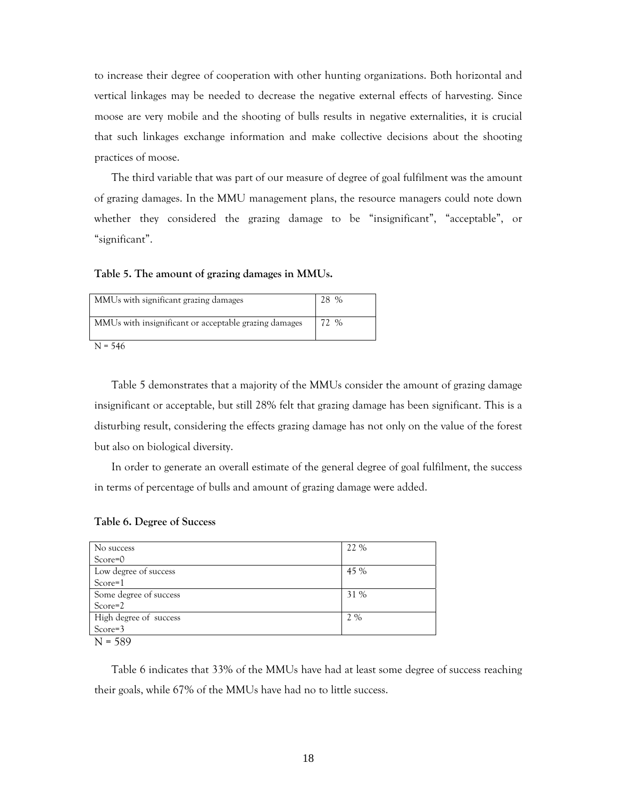to increase their degree of cooperation with other hunting organizations. Both horizontal and vertical linkages may be needed to decrease the negative external effects of harvesting. Since moose are very mobile and the shooting of bulls results in negative externalities, it is crucial that such linkages exchange information and make collective decisions about the shooting practices of moose.

The third variable that was part of our measure of degree of goal fulfilment was the amount of grazing damages. In the MMU management plans, the resource managers could note down whether they considered the grazing damage to be "insignificant", "acceptable", or "significant".

**Table 5. The amount of grazing damages in MMUs.** 

| MMUs with significant grazing damages                 | $\%$ |
|-------------------------------------------------------|------|
| MMUs with insignificant or acceptable grazing damages | 72 % |
|                                                       |      |

 $N = 546$ 

Table 5 demonstrates that a majority of the MMUs consider the amount of grazing damage insignificant or acceptable, but still 28% felt that grazing damage has been significant. This is a disturbing result, considering the effects grazing damage has not only on the value of the forest but also on biological diversity.

In order to generate an overall estimate of the general degree of goal fulfilment, the success in terms of percentage of bulls and amount of grazing damage were added.

| No success             | 22 % |
|------------------------|------|
| $Score=0$              |      |
| Low degree of success  | 45 % |
| $Score=1$              |      |
| Some degree of success | 31 % |
| $Score=2$              |      |
| High degree of success | 2 %  |
| Score=3                |      |
| $N = 589$              |      |

### **Table 6. Degree of Success**

Table 6 indicates that 33% of the MMUs have had at least some degree of success reaching their goals, while 67% of the MMUs have had no to little success.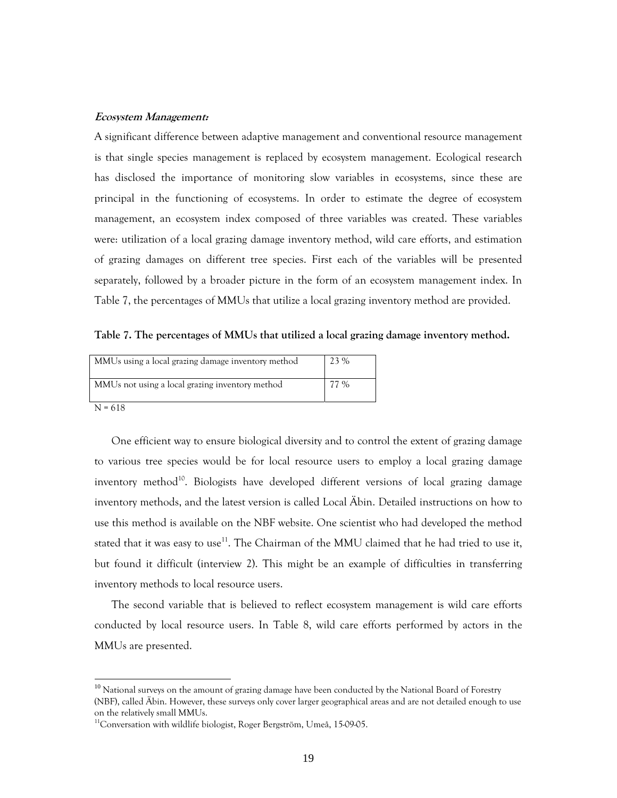### **Ecosystem Management:**

A significant difference between adaptive management and conventional resource management is that single species management is replaced by ecosystem management. Ecological research has disclosed the importance of monitoring slow variables in ecosystems, since these are principal in the functioning of ecosystems. In order to estimate the degree of ecosystem management, an ecosystem index composed of three variables was created. These variables were: utilization of a local grazing damage inventory method, wild care efforts, and estimation of grazing damages on different tree species. First each of the variables will be presented separately, followed by a broader picture in the form of an ecosystem management index. In Table 7, the percentages of MMUs that utilize a local grazing inventory method are provided.

**Table 7. The percentages of MMUs that utilized a local grazing damage inventory method.**

| MMUs using a local grazing damage inventory method | 23 %  |
|----------------------------------------------------|-------|
| MMUs not using a local grazing inventory method    | $7\%$ |

N = 618

-

One efficient way to ensure biological diversity and to control the extent of grazing damage to various tree species would be for local resource users to employ a local grazing damage inventory method<sup>10</sup>. Biologists have developed different versions of local grazing damage inventory methods, and the latest version is called Local Äbin. Detailed instructions on how to use this method is available on the NBF website. One scientist who had developed the method stated that it was easy to use<sup>11</sup>. The Chairman of the MMU claimed that he had tried to use it, but found it difficult (interview 2). This might be an example of difficulties in transferring inventory methods to local resource users.

The second variable that is believed to reflect ecosystem management is wild care efforts conducted by local resource users. In Table 8, wild care efforts performed by actors in the MMUs are presented.

<sup>&</sup>lt;sup>10</sup> National surveys on the amount of grazing damage have been conducted by the National Board of Forestry (NBF), called Äbin. However, these surveys only cover larger geographical areas and are not detailed enough to use on the relatively small MMUs.

<sup>&</sup>lt;sup>11</sup>Conversation with wildlife biologist, Roger Bergström, Umeå, 15-09-05.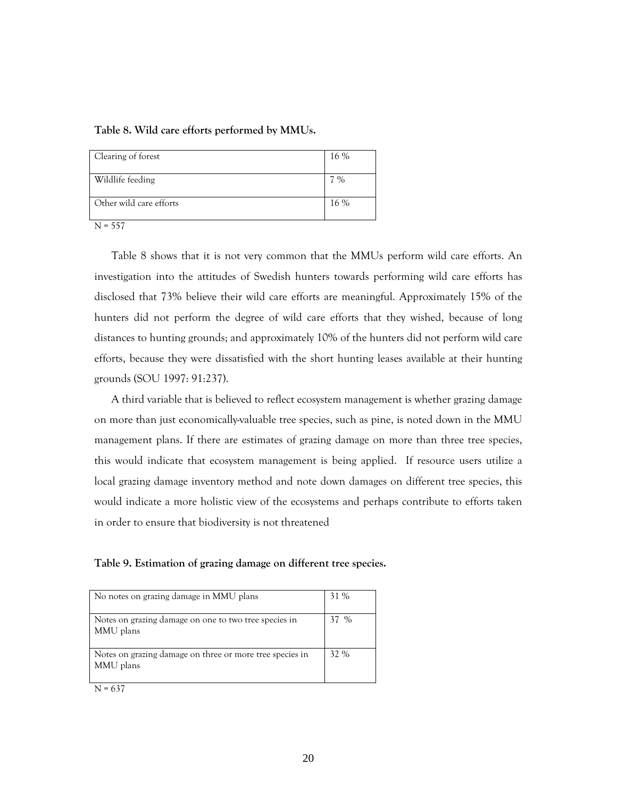### **Table 8. Wild care efforts performed by MMUs.**

| Clearing of forest      | 16 %          |
|-------------------------|---------------|
| Wildlife feeding        | $\frac{6}{6}$ |
| Other wild care efforts | 16 %          |

 $N = 557$ 

Table 8 shows that it is not very common that the MMUs perform wild care efforts. An investigation into the attitudes of Swedish hunters towards performing wild care efforts has disclosed that 73% believe their wild care efforts are meaningful. Approximately 15% of the hunters did not perform the degree of wild care efforts that they wished, because of long distances to hunting grounds; and approximately 10% of the hunters did not perform wild care efforts, because they were dissatisfied with the short hunting leases available at their hunting grounds (SOU 1997: 91:237).

A third variable that is believed to reflect ecosystem management is whether grazing damage on more than just economically-valuable tree species, such as pine, is noted down in the MMU management plans. If there are estimates of grazing damage on more than three tree species, this would indicate that ecosystem management is being applied. If resource users utilize a local grazing damage inventory method and note down damages on different tree species, this would indicate a more holistic view of the ecosystems and perhaps contribute to efforts taken in order to ensure that biodiversity is not threatened

**Table 9. Estimation of grazing damage on different tree species.** 

| No notes on grazing damage in MMU plans                               | 31 % |
|-----------------------------------------------------------------------|------|
| Notes on grazing damage on one to two tree species in<br>MMU plans    | 37 % |
| Notes on grazing damage on three or more tree species in<br>MMU plans | 32 % |

 $N = 637$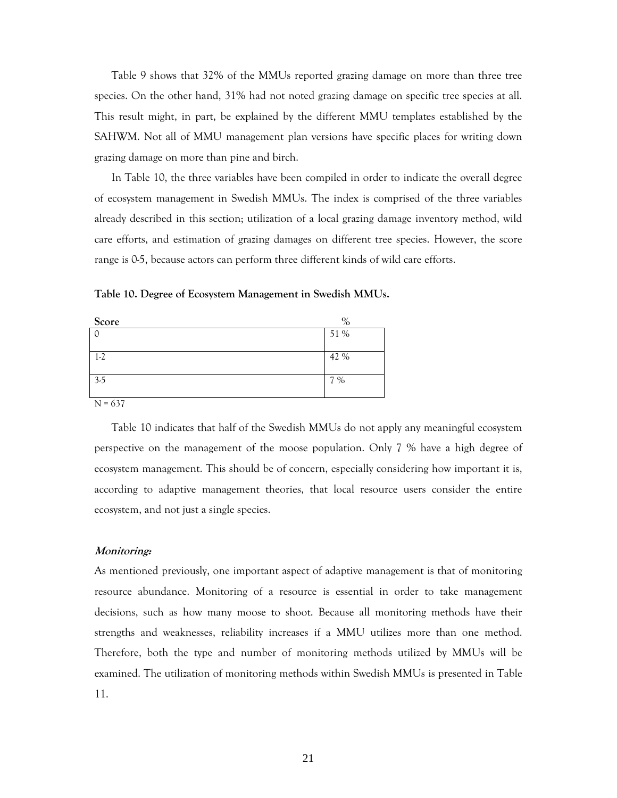Table 9 shows that 32% of the MMUs reported grazing damage on more than three tree species. On the other hand, 31% had not noted grazing damage on specific tree species at all. This result might, in part, be explained by the different MMU templates established by the SAHWM. Not all of MMU management plan versions have specific places for writing down grazing damage on more than pine and birch.

In Table 10, the three variables have been compiled in order to indicate the overall degree of ecosystem management in Swedish MMUs. The index is comprised of the three variables already described in this section; utilization of a local grazing damage inventory method, wild care efforts, and estimation of grazing damages on different tree species. However, the score range is 0-5, because actors can perform three different kinds of wild care efforts.

**Table 10. Degree of Ecosystem Management in Swedish MMUs.** 

| Score | $\%$ |
|-------|------|
|       | 51 % |
|       |      |
| $1-2$ | 42 % |
|       |      |
| $3-5$ | 7 %  |
|       |      |

 $N = 637$ 

Table 10 indicates that half of the Swedish MMUs do not apply any meaningful ecosystem perspective on the management of the moose population. Only 7 % have a high degree of ecosystem management. This should be of concern, especially considering how important it is, according to adaptive management theories, that local resource users consider the entire ecosystem, and not just a single species.

### **Monitoring:**

As mentioned previously, one important aspect of adaptive management is that of monitoring resource abundance. Monitoring of a resource is essential in order to take management decisions, such as how many moose to shoot. Because all monitoring methods have their strengths and weaknesses, reliability increases if a MMU utilizes more than one method. Therefore, both the type and number of monitoring methods utilized by MMUs will be examined. The utilization of monitoring methods within Swedish MMUs is presented in Table 11.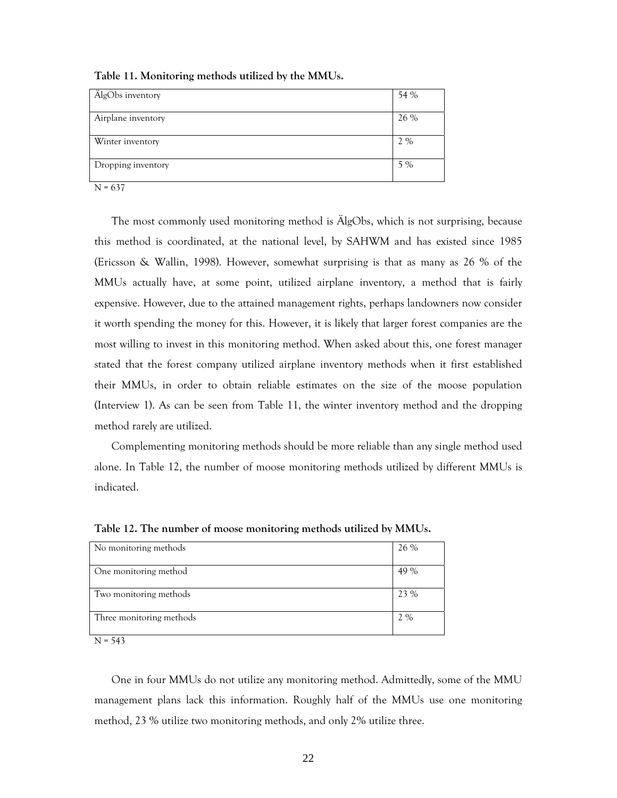| ÄlgObs inventory   | 54 % |
|--------------------|------|
| Airplane inventory | 26 % |
| Winter inventory   | 2%   |
| Dropping inventory | 5 %  |

**Table 11. Monitoring methods utilized by the MMUs.**

N = 637

The most commonly used monitoring method is ÄlgObs, which is not surprising, because this method is coordinated, at the national level, by SAHWM and has existed since 1985 (Ericsson & Wallin, 1998). However, somewhat surprising is that as many as 26 % of the MMUs actually have, at some point, utilized airplane inventory, a method that is fairly expensive. However, due to the attained management rights, perhaps landowners now consider it worth spending the money for this. However, it is likely that larger forest companies are the most willing to invest in this monitoring method. When asked about this, one forest manager stated that the forest company utilized airplane inventory methods when it first established their MMUs, in order to obtain reliable estimates on the size of the moose population (Interview 1). As can be seen from Table 11, the winter inventory method and the dropping method rarely are utilized.

Complementing monitoring methods should be more reliable than any single method used alone. In Table 12, the number of moose monitoring methods utilized by different MMUs is indicated.

| No monitoring methods    | 26 % |
|--------------------------|------|
|                          |      |
| One monitoring method    | 49 % |
| Two monitoring methods   | 23 % |
| Three monitoring methods | 2%   |
| .                        |      |

**Table 12. The number of moose monitoring methods utilized by MMUs.**

 $N = 543$ 

One in four MMUs do not utilize any monitoring method. Admittedly, some of the MMU management plans lack this information. Roughly half of the MMUs use one monitoring method, 23 % utilize two monitoring methods, and only 2% utilize three.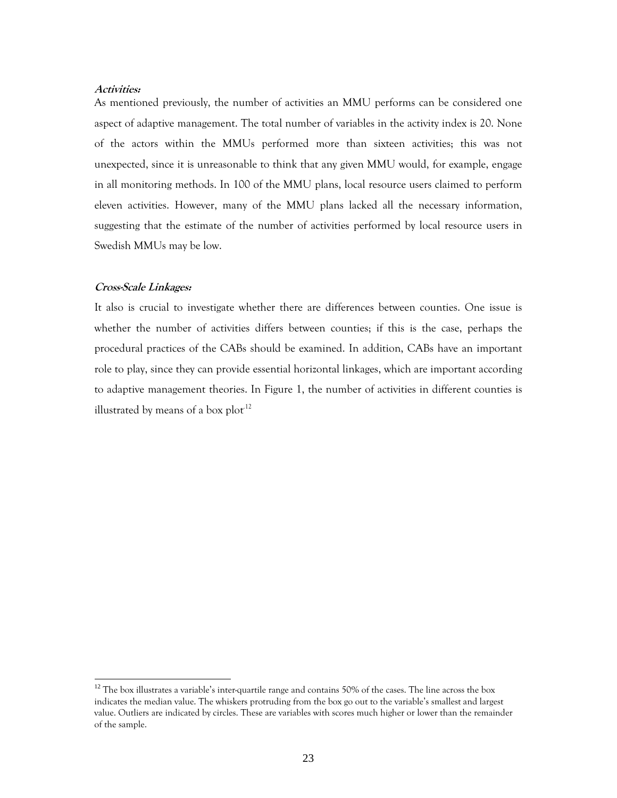## **Activities:**

As mentioned previously, the number of activities an MMU performs can be considered one aspect of adaptive management. The total number of variables in the activity index is 20. None of the actors within the MMUs performed more than sixteen activities; this was not unexpected, since it is unreasonable to think that any given MMU would, for example, engage in all monitoring methods. In 100 of the MMU plans, local resource users claimed to perform eleven activities. However, many of the MMU plans lacked all the necessary information, suggesting that the estimate of the number of activities performed by local resource users in Swedish MMUs may be low.

## **Cross-Scale Linkages:**

-

It also is crucial to investigate whether there are differences between counties. One issue is whether the number of activities differs between counties; if this is the case, perhaps the procedural practices of the CABs should be examined. In addition, CABs have an important role to play, since they can provide essential horizontal linkages, which are important according to adaptive management theories. In Figure 1, the number of activities in different counties is illustrated by means of a box  $plot<sup>12</sup>$ 

<sup>&</sup>lt;sup>12</sup> The box illustrates a variable's inter-quartile range and contains 50% of the cases. The line across the box indicates the median value. The whiskers protruding from the box go out to the variable's smallest and largest value. Outliers are indicated by circles. These are variables with scores much higher or lower than the remainder of the sample.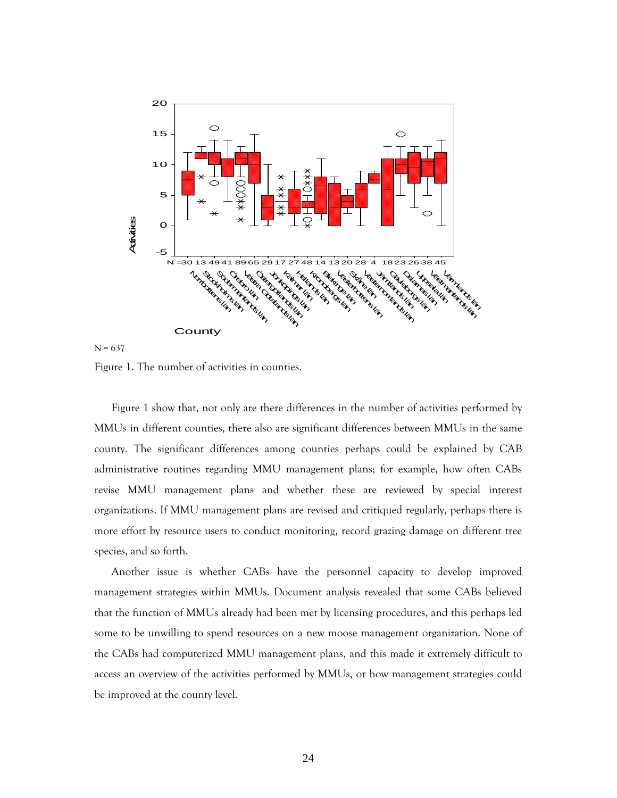

 $N = 637$ 

Figure 1. The number of activities in counties.

Figure 1 show that, not only are there differences in the number of activities performed by MMUs in different counties, there also are significant differences between MMUs in the same county. The significant differences among counties perhaps could be explained by CAB administrative routines regarding MMU management plans; for example, how often CABs revise MMU management plans and whether these are reviewed by special interest organizations. If MMU management plans are revised and critiqued regularly, perhaps there is more effort by resource users to conduct monitoring, record grazing damage on different tree species, and so forth.

Another issue is whether CABs have the personnel capacity to develop improved management strategies within MMUs. Document analysis revealed that some CABs believed that the function of MMUs already had been met by licensing procedures, and this perhaps led some to be unwilling to spend resources on a new moose management organization. None of the CABs had computerized MMU management plans, and this made it extremely difficult to access an overview of the activities performed by MMUs, or how management strategies could be improved at the county level.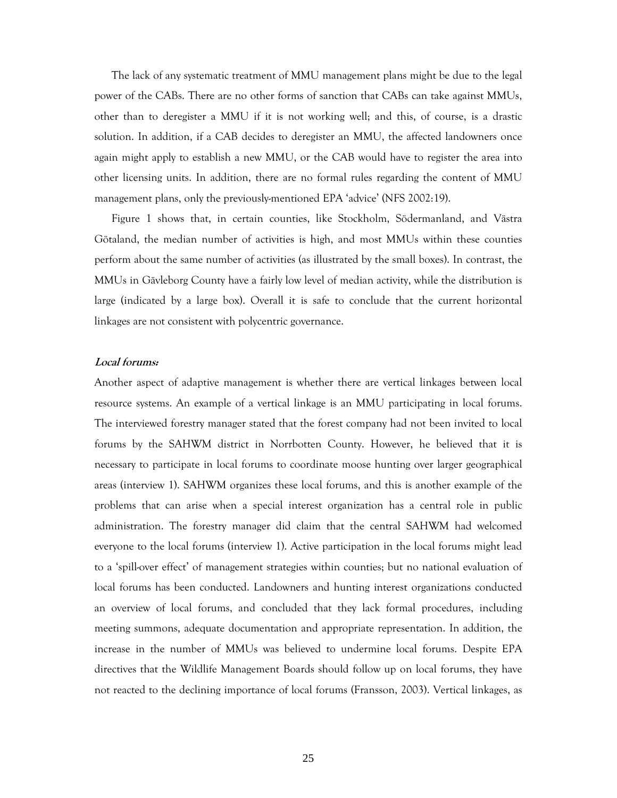The lack of any systematic treatment of MMU management plans might be due to the legal power of the CABs. There are no other forms of sanction that CABs can take against MMUs, other than to deregister a MMU if it is not working well; and this, of course, is a drastic solution. In addition, if a CAB decides to deregister an MMU, the affected landowners once again might apply to establish a new MMU, or the CAB would have to register the area into other licensing units. In addition, there are no formal rules regarding the content of MMU management plans, only the previously-mentioned EPA 'advice' (NFS 2002:19).

Figure 1 shows that, in certain counties, like Stockholm, Södermanland, and Västra Götaland, the median number of activities is high, and most MMUs within these counties perform about the same number of activities (as illustrated by the small boxes). In contrast, the MMUs in Gävleborg County have a fairly low level of median activity, while the distribution is large (indicated by a large box). Overall it is safe to conclude that the current horizontal linkages are not consistent with polycentric governance.

## **Local forums:**

Another aspect of adaptive management is whether there are vertical linkages between local resource systems. An example of a vertical linkage is an MMU participating in local forums. The interviewed forestry manager stated that the forest company had not been invited to local forums by the SAHWM district in Norrbotten County. However, he believed that it is necessary to participate in local forums to coordinate moose hunting over larger geographical areas (interview 1). SAHWM organizes these local forums, and this is another example of the problems that can arise when a special interest organization has a central role in public administration. The forestry manager did claim that the central SAHWM had welcomed everyone to the local forums (interview 1). Active participation in the local forums might lead to a 'spill-over effect' of management strategies within counties; but no national evaluation of local forums has been conducted. Landowners and hunting interest organizations conducted an overview of local forums, and concluded that they lack formal procedures, including meeting summons, adequate documentation and appropriate representation. In addition, the increase in the number of MMUs was believed to undermine local forums. Despite EPA directives that the Wildlife Management Boards should follow up on local forums, they have not reacted to the declining importance of local forums (Fransson, 2003). Vertical linkages, as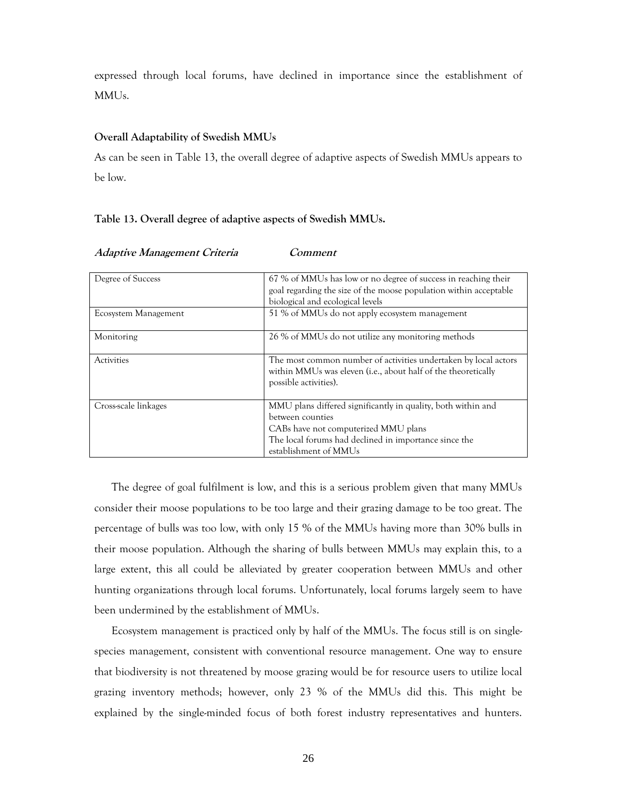expressed through local forums, have declined in importance since the establishment of MMUs.

## **Overall Adaptability of Swedish MMUs**

As can be seen in Table 13, the overall degree of adaptive aspects of Swedish MMUs appears to be low.

## **Table 13. Overall degree of adaptive aspects of Swedish MMUs.**

| Degree of Success    | 67 % of MMUs has low or no degree of success in reaching their<br>goal regarding the size of the moose population within acceptable                                                                        |
|----------------------|------------------------------------------------------------------------------------------------------------------------------------------------------------------------------------------------------------|
|                      | biological and ecological levels                                                                                                                                                                           |
| Ecosystem Management | 51 % of MMUs do not apply ecosystem management                                                                                                                                                             |
| Monitoring           | 26 % of MMUs do not utilize any monitoring methods                                                                                                                                                         |
| <b>Activities</b>    | The most common number of activities undertaken by local actors<br>within MMUs was eleven (i.e., about half of the theoretically<br>possible activities).                                                  |
| Cross-scale linkages | MMU plans differed significantly in quality, both within and<br>between counties<br>CABs have not computerized MMU plans<br>The local forums had declined in importance since the<br>establishment of MMUs |

**Adaptive Management Criteria Comment** 

The degree of goal fulfilment is low, and this is a serious problem given that many MMUs consider their moose populations to be too large and their grazing damage to be too great. The percentage of bulls was too low, with only 15 % of the MMUs having more than 30% bulls in their moose population. Although the sharing of bulls between MMUs may explain this, to a large extent, this all could be alleviated by greater cooperation between MMUs and other hunting organizations through local forums. Unfortunately, local forums largely seem to have been undermined by the establishment of MMUs.

Ecosystem management is practiced only by half of the MMUs. The focus still is on singlespecies management, consistent with conventional resource management. One way to ensure that biodiversity is not threatened by moose grazing would be for resource users to utilize local grazing inventory methods; however, only 23 % of the MMUs did this. This might be explained by the single-minded focus of both forest industry representatives and hunters.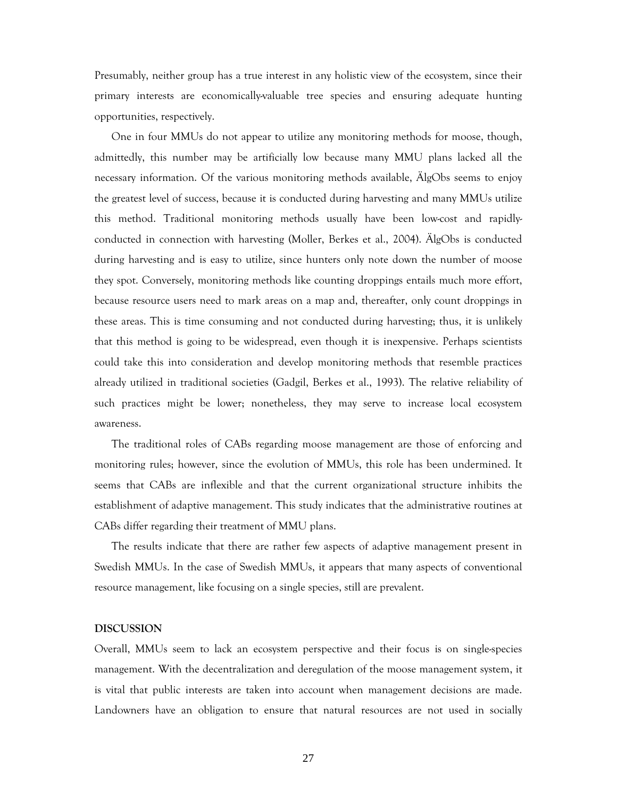Presumably, neither group has a true interest in any holistic view of the ecosystem, since their primary interests are economically-valuable tree species and ensuring adequate hunting opportunities, respectively.

One in four MMUs do not appear to utilize any monitoring methods for moose, though, admittedly, this number may be artificially low because many MMU plans lacked all the necessary information. Of the various monitoring methods available, ÄlgObs seems to enjoy the greatest level of success, because it is conducted during harvesting and many MMUs utilize this method. Traditional monitoring methods usually have been low-cost and rapidlyconducted in connection with harvesting (Moller, Berkes et al., 2004). ÄlgObs is conducted during harvesting and is easy to utilize, since hunters only note down the number of moose they spot. Conversely, monitoring methods like counting droppings entails much more effort, because resource users need to mark areas on a map and, thereafter, only count droppings in these areas. This is time consuming and not conducted during harvesting; thus, it is unlikely that this method is going to be widespread, even though it is inexpensive. Perhaps scientists could take this into consideration and develop monitoring methods that resemble practices already utilized in traditional societies (Gadgil, Berkes et al., 1993). The relative reliability of such practices might be lower; nonetheless, they may serve to increase local ecosystem awareness.

The traditional roles of CABs regarding moose management are those of enforcing and monitoring rules; however, since the evolution of MMUs, this role has been undermined. It seems that CABs are inflexible and that the current organizational structure inhibits the establishment of adaptive management. This study indicates that the administrative routines at CABs differ regarding their treatment of MMU plans.

The results indicate that there are rather few aspects of adaptive management present in Swedish MMUs. In the case of Swedish MMUs, it appears that many aspects of conventional resource management, like focusing on a single species, still are prevalent.

### **DISCUSSION**

Overall, MMUs seem to lack an ecosystem perspective and their focus is on single-species management. With the decentralization and deregulation of the moose management system, it is vital that public interests are taken into account when management decisions are made. Landowners have an obligation to ensure that natural resources are not used in socially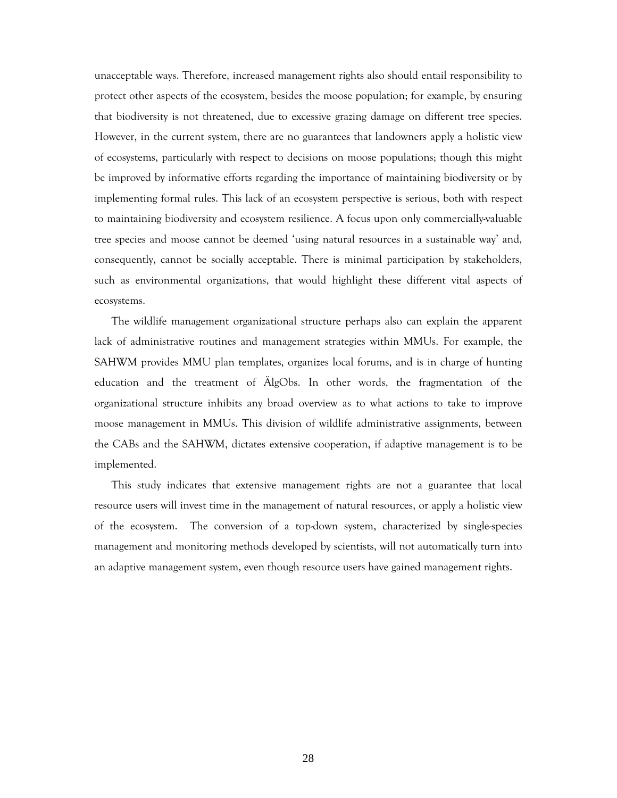unacceptable ways. Therefore, increased management rights also should entail responsibility to protect other aspects of the ecosystem, besides the moose population; for example, by ensuring that biodiversity is not threatened, due to excessive grazing damage on different tree species. However, in the current system, there are no guarantees that landowners apply a holistic view of ecosystems, particularly with respect to decisions on moose populations; though this might be improved by informative efforts regarding the importance of maintaining biodiversity or by implementing formal rules. This lack of an ecosystem perspective is serious, both with respect to maintaining biodiversity and ecosystem resilience. A focus upon only commercially-valuable tree species and moose cannot be deemed 'using natural resources in a sustainable way' and, consequently, cannot be socially acceptable. There is minimal participation by stakeholders, such as environmental organizations, that would highlight these different vital aspects of ecosystems.

The wildlife management organizational structure perhaps also can explain the apparent lack of administrative routines and management strategies within MMUs. For example, the SAHWM provides MMU plan templates, organizes local forums, and is in charge of hunting education and the treatment of ÄlgObs. In other words, the fragmentation of the organizational structure inhibits any broad overview as to what actions to take to improve moose management in MMUs. This division of wildlife administrative assignments, between the CABs and the SAHWM, dictates extensive cooperation, if adaptive management is to be implemented.

This study indicates that extensive management rights are not a guarantee that local resource users will invest time in the management of natural resources, or apply a holistic view of the ecosystem. The conversion of a top-down system, characterized by single-species management and monitoring methods developed by scientists, will not automatically turn into an adaptive management system, even though resource users have gained management rights.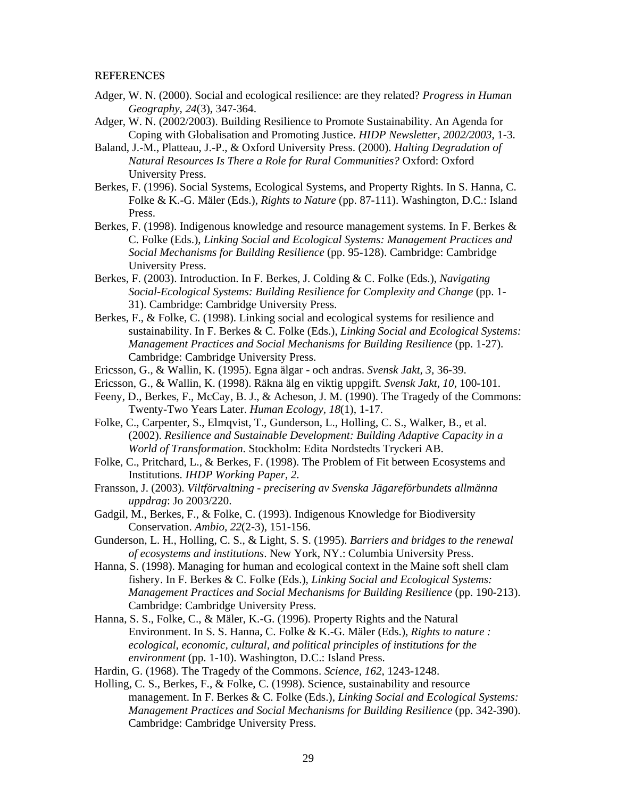### **REFERENCES**

Adger, W. N. (2000). Social and ecological resilience: are they related? *Progress in Human Geography, 24*(3), 347-364.

Adger, W. N. (2002/2003). Building Resilience to Promote Sustainability. An Agenda for Coping with Globalisation and Promoting Justice. *HIDP Newsletter, 2002/2003*, 1-3.

- Baland, J.-M., Platteau, J.-P., & Oxford University Press. (2000). *Halting Degradation of Natural Resources Is There a Role for Rural Communities?* Oxford: Oxford University Press.
- Berkes, F. (1996). Social Systems, Ecological Systems, and Property Rights. In S. Hanna, C. Folke & K.-G. Mäler (Eds.), *Rights to Nature* (pp. 87-111). Washington, D.C.: Island Press.
- Berkes, F. (1998). Indigenous knowledge and resource management systems. In F. Berkes & C. Folke (Eds.), *Linking Social and Ecological Systems: Management Practices and Social Mechanisms for Building Resilience* (pp. 95-128). Cambridge: Cambridge University Press.
- Berkes, F. (2003). Introduction. In F. Berkes, J. Colding & C. Folke (Eds.), *Navigating Social-Ecological Systems: Building Resilience for Complexity and Change* (pp. 1- 31). Cambridge: Cambridge University Press.
- Berkes, F., & Folke, C. (1998). Linking social and ecological systems for resilience and sustainability. In F. Berkes & C. Folke (Eds.), *Linking Social and Ecological Systems: Management Practices and Social Mechanisms for Building Resilience* (pp. 1-27). Cambridge: Cambridge University Press.
- Ericsson, G., & Wallin, K. (1995). Egna älgar och andras. *Svensk Jakt, 3,* 36-39.
- Ericsson, G., & Wallin, K. (1998). Räkna älg en viktig uppgift. *Svensk Jakt, 10,* 100-101.
- Feeny, D., Berkes, F., McCay, B. J., & Acheson, J. M. (1990). The Tragedy of the Commons: Twenty-Two Years Later. *Human Ecology, 18*(1), 1-17.
- Folke, C., Carpenter, S., Elmqvist, T., Gunderson, L., Holling, C. S., Walker, B., et al. (2002). *Resilience and Sustainable Development: Building Adaptive Capacity in a World of Transformation*. Stockholm: Edita Nordstedts Tryckeri AB.
- Folke, C., Pritchard, L., & Berkes, F. (1998). The Problem of Fit between Ecosystems and Institutions. *IHDP Working Paper, 2*.
- Fransson, J. (2003). *Viltförvaltning precisering av Svenska Jägareförbundets allmänna uppdrag*: Jo 2003/220.
- Gadgil, M., Berkes, F., & Folke, C. (1993). Indigenous Knowledge for Biodiversity Conservation. *Ambio, 22*(2-3), 151-156.
- Gunderson, L. H., Holling, C. S., & Light, S. S. (1995). *Barriers and bridges to the renewal of ecosystems and institutions*. New York, NY.: Columbia University Press.
- Hanna, S. (1998). Managing for human and ecological context in the Maine soft shell clam fishery. In F. Berkes & C. Folke (Eds.), *Linking Social and Ecological Systems: Management Practices and Social Mechanisms for Building Resilience* (pp. 190-213). Cambridge: Cambridge University Press.
- Hanna, S. S., Folke, C., & Mäler, K.-G. (1996). Property Rights and the Natural Environment. In S. S. Hanna, C. Folke & K.-G. Mäler (Eds.), *Rights to nature : ecological, economic, cultural, and political principles of institutions for the environment* (pp. 1-10). Washington, D.C.: Island Press.

Hardin, G. (1968). The Tragedy of the Commons. *Science, 162*, 1243-1248.

Holling, C. S., Berkes, F., & Folke, C. (1998). Science, sustainability and resource management. In F. Berkes & C. Folke (Eds.), *Linking Social and Ecological Systems: Management Practices and Social Mechanisms for Building Resilience* (pp. 342-390). Cambridge: Cambridge University Press.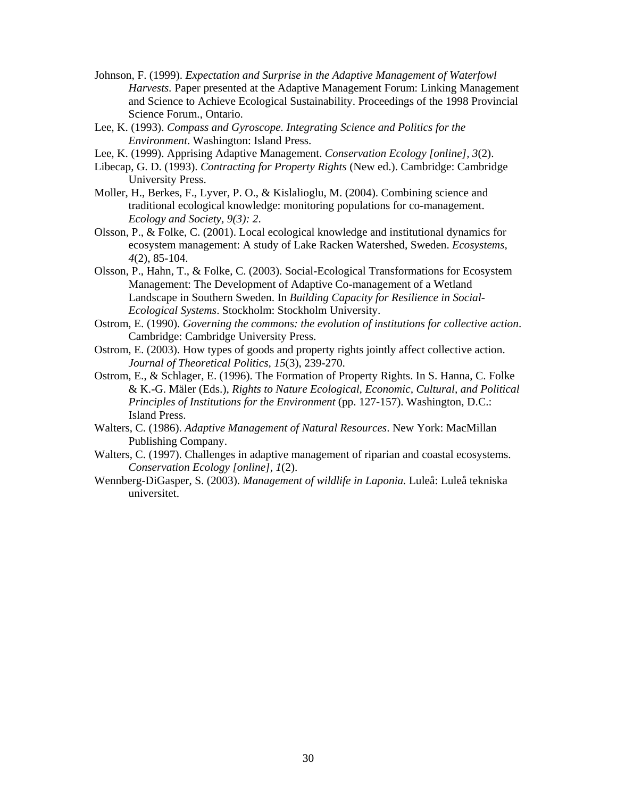- Johnson, F. (1999). *Expectation and Surprise in the Adaptive Management of Waterfowl Harvests.* Paper presented at the Adaptive Management Forum: Linking Management and Science to Achieve Ecological Sustainability. Proceedings of the 1998 Provincial Science Forum., Ontario.
- Lee, K. (1993). *Compass and Gyroscope. Integrating Science and Politics for the Environment*. Washington: Island Press.
- Lee, K. (1999). Apprising Adaptive Management. *Conservation Ecology [online], 3*(2).
- Libecap, G. D. (1993). *Contracting for Property Rights* (New ed.). Cambridge: Cambridge University Press.
- Moller, H., Berkes, F., Lyver, P. O., & Kislalioglu, M. (2004). Combining science and traditional ecological knowledge: monitoring populations for co-management. *Ecology and Society, 9(3): 2*.
- Olsson, P., & Folke, C. (2001). Local ecological knowledge and institutional dynamics for ecosystem management: A study of Lake Racken Watershed, Sweden. *Ecosystems, 4*(2), 85-104.
- Olsson, P., Hahn, T., & Folke, C. (2003). Social-Ecological Transformations for Ecosystem Management: The Development of Adaptive Co-management of a Wetland Landscape in Southern Sweden. In *Building Capacity for Resilience in Social-Ecological Systems*. Stockholm: Stockholm University.
- Ostrom, E. (1990). *Governing the commons: the evolution of institutions for collective action*. Cambridge: Cambridge University Press.
- Ostrom, E. (2003). How types of goods and property rights jointly affect collective action. *Journal of Theoretical Politics, 15*(3), 239-270.
- Ostrom, E., & Schlager, E. (1996). The Formation of Property Rights. In S. Hanna, C. Folke & K.-G. Mäler (Eds.), *Rights to Nature Ecological, Economic, Cultural, and Political Principles of Institutions for the Environment* (pp. 127-157). Washington, D.C.: Island Press.
- Walters, C. (1986). *Adaptive Management of Natural Resources*. New York: MacMillan Publishing Company.
- Walters, C. (1997). Challenges in adaptive management of riparian and coastal ecosystems. *Conservation Ecology [online], 1*(2).
- Wennberg-DiGasper, S. (2003). *Management of wildlife in Laponia.* Luleå: Luleå tekniska universitet.